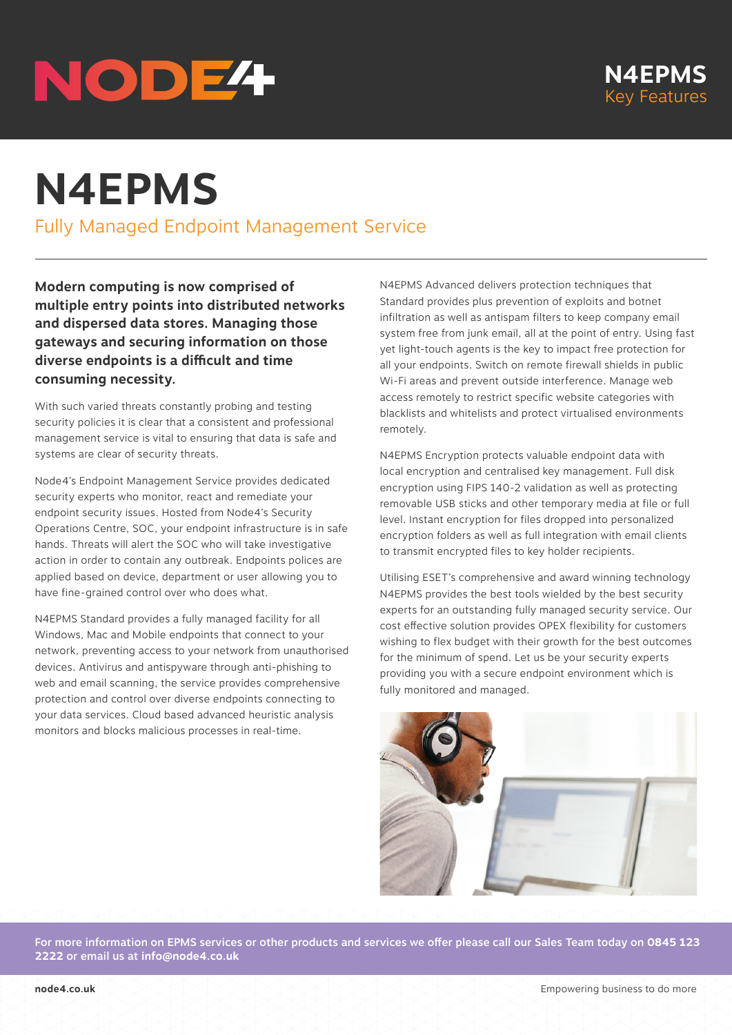# NODE<sup>4</sup>

# **N4EPMS**

Fully Managed Endpoint Management Service

**Modern computing is now comprised of multiple entry points into distributed networks and dispersed data stores. Managing those gateways and securing information on those diverse endpoints is a difficult and time consuming necessity.**

With such varied threats constantly probing and testing security policies it is clear that a consistent and professional management service is vital to ensuring that data is safe and systems are clear of security threats.

Node4's Endpoint Management Service provides dedicated security experts who monitor, react and remediate your endpoint security issues. Hosted from Node4's Security Operations Centre, SOC, your endpoint infrastructure is in safe hands. Threats will alert the SOC who will take investigative action in order to contain any outbreak. Endpoints polices are applied based on device, department or user allowing you to have fine-grained control over who does what.

N4EPMS Standard provides a fully managed facility for all Windows, Mac and Mobile endpoints that connect to your network, preventing access to your network from unauthorised devices. Antivirus and antispyware through anti-phishing to web and email scanning, the service provides comprehensive protection and control over diverse endpoints connecting to your data services. Cloud based advanced heuristic analysis monitors and blocks malicious processes in real-time.

N4EPMS Advanced delivers protection techniques that Standard provides plus prevention of exploits and botnet infiltration as well as antispam filters to keep company email system free from junk email, all at the point of entry. Using fast yet light-touch agents is the key to impact free protection for all your endpoints. Switch on remote firewall shields in public Wi-Fi areas and prevent outside interference. Manage web access remotely to restrict specific website categories with blacklists and whitelists and protect virtualised environments remotely.

N4EPMS Encryption protects valuable endpoint data with local encryption and centralised key management. Full disk encryption using FIPS 140-2 validation as well as protecting removable USB sticks and other temporary media at file or full level. Instant encryption for files dropped into personalized encryption folders as well as full integration with email clients to transmit encrypted files to key holder recipients.

Utilising ESET's comprehensive and award winning technology N4EPMS provides the best tools wielded by the best security experts for an outstanding fully managed security service. Our cost effective solution provides OPEX flexibility for customers wishing to flex budget with their growth for the best outcomes for the minimum of spend. Let us be your security experts providing you with a secure endpoint environment which is fully monitored and managed.



For more information on EPMS services or other products and services we offer please call our Sales Team today on **0845 123 2222** or email us at **info@node4.co.uk**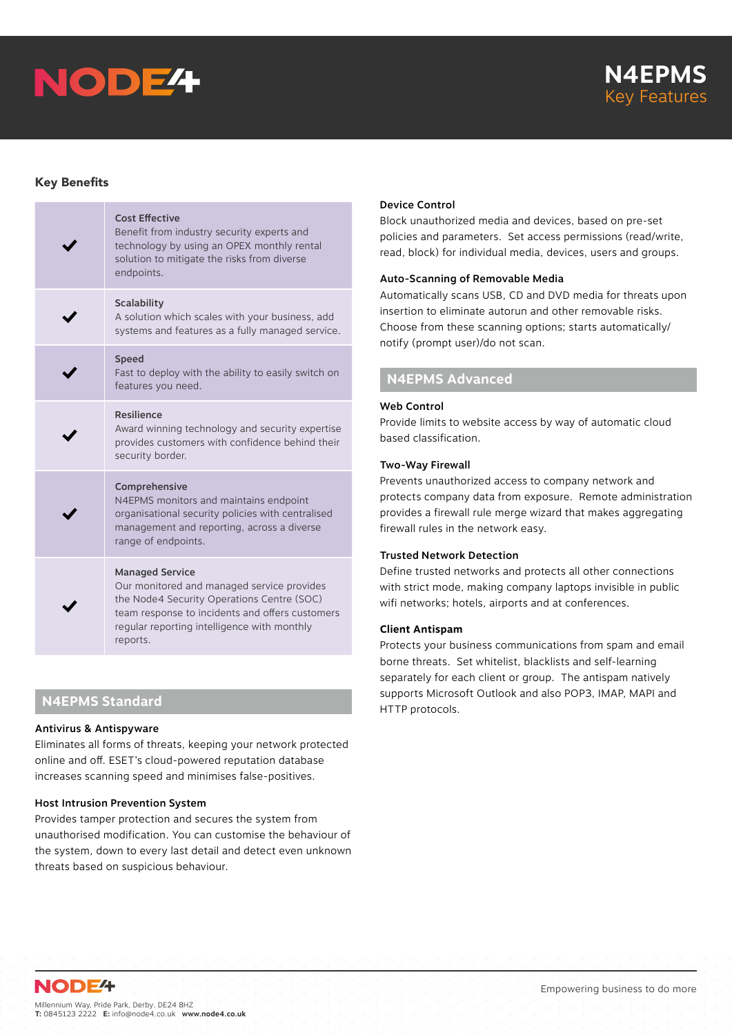



# Key Benefits

| <b>Cost Effective</b><br>Benefit from industry security experts and<br>technology by using an OPEX monthly rental<br>solution to mitigate the risks from diverse<br>endpoints.                                                   |
|----------------------------------------------------------------------------------------------------------------------------------------------------------------------------------------------------------------------------------|
| Scalability<br>A solution which scales with your business, add<br>systems and features as a fully managed service.                                                                                                               |
| <b>Speed</b><br>Fast to deploy with the ability to easily switch on<br>features you need.                                                                                                                                        |
| <b>Resilience</b><br>Award winning technology and security expertise<br>provides customers with confidence behind their<br>security border.                                                                                      |
| Comprehensive<br>N4EPMS monitors and maintains endpoint<br>organisational security policies with centralised<br>management and reporting, across a diverse<br>range of endpoints.                                                |
| <b>Managed Service</b><br>Our monitored and managed service provides<br>the Node4 Security Operations Centre (SOC)<br>team response to incidents and offers customers<br>regular reporting intelligence with monthly<br>reports. |

# **N4EPMS Standard**

# Antivirus & Antispyware

Eliminates all forms of threats, keeping your network protected online and off. ESET's cloud-powered reputation database increases scanning speed and minimises false-positives.

# Host Intrusion Prevention System

Provides tamper protection and secures the system from unauthorised modification. You can customise the behaviour of the system, down to every last detail and detect even unknown threats based on suspicious behaviour.

# Device Control

Block unauthorized media and devices, based on pre-set policies and parameters. Set access permissions (read/write, read, block) for individual media, devices, users and groups.

# Auto-Scanning of Removable Media

Automatically scans USB, CD and DVD media for threats upon insertion to eliminate autorun and other removable risks. Choose from these scanning options; starts automatically/ notify (prompt user)/do not scan.

# **N4EPMS Advanced**

#### Web Control

Provide limits to website access by way of automatic cloud based classification.

# Two-Way Firewall

Prevents unauthorized access to company network and protects company data from exposure. Remote administration provides a firewall rule merge wizard that makes aggregating firewall rules in the network easy.

#### Trusted Network Detection

Define trusted networks and protects all other connections with strict mode, making company laptops invisible in public wifi networks; hotels, airports and at conferences.

# **Client Antispam**

Protects your business communications from spam and email borne threats. Set whitelist, blacklists and self-learning separately for each client or group. The antispam natively supports Microsoft Outlook and also POP3, IMAP, MAPI and HTTP protocols.